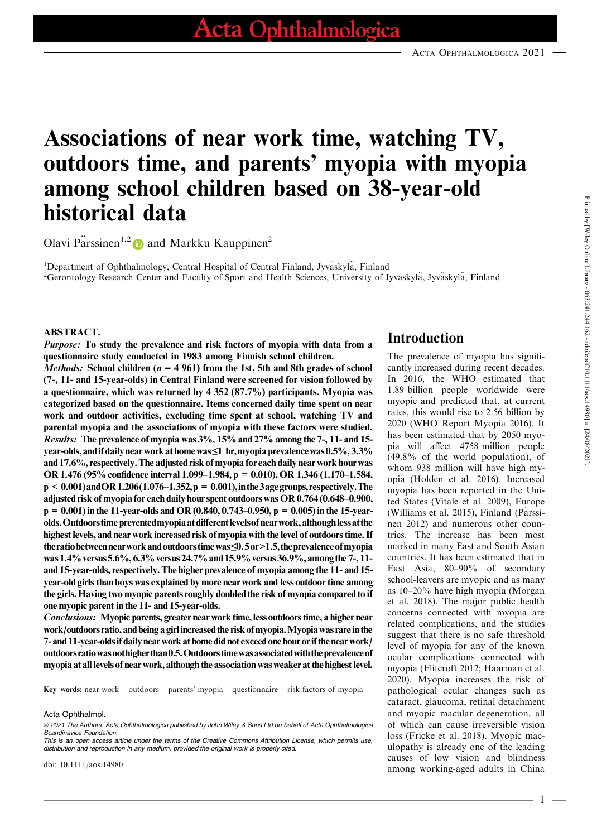# Associations of near work time, watching TV, outdoors time, and parents' myopia with myopia among school children based on 38-year-old historical data

Olavi Parssinen<sup>1,2</sup> and Markku Kauppinen<sup>2</sup>

<sup>1</sup>Department of Ophthalmology, Central Hospital of Central Finland, Jyvaskyla, Finland <sup>2</sup>Gerontology Research Center and Faculty of Sport and Health Sciences, University of Jyvaskyla, Jyvaskyla, Finland

### ABSTRACT.

Purpose: To study the prevalence and risk factors of myopia with data from a questionnaire study conducted in 1983 among Finnish school children.

*Methods:* School children ( $n = 4961$ ) from the 1st, 5th and 8th grades of school (7-, 11- and 15-year-olds) in Central Finland were screened for vision followed by a questionnaire, which was returned by 4 352 (87.7%) participants. Myopia was categorized based on the questionnaire. Items concerned daily time spent on near work and outdoor activities, excluding time spent at school, watching TV and parental myopia and the associations of myopia with these factors were studied. Results: The prevalence of myopia was 3%, 15%and 27% among the 7-, 11- and 15 year-olds, and if daily near work at home was≤1 hr, myopia prevalence was 0.5%, 3.3% and 17.6%, respectively. The adjusted risk of myopia for each daily near work hour was OR 1.476 (95% confidence interval 1.099–1.984, p = 0.010), OR 1.346 (1.170–1.584,  $p < 0.001$ ) and OR 1.206(1.076–1.352,  $p = 0.001$ ), in the 3 age groups, respectively. The adjusted risk of myopia for each daily hourspent outdoorswas OR 0.764 (0.648–0.900,  $p = 0.001$ ) in the 11-year-olds and OR (0.840, 0.743–0.950,  $p = 0.005$ ) in the 15-yearolds.Outdoorstime preventedmyopiaatdifferentlevelsof nearwork,althoughlessatthe highest levels, and near work increased risk of myopia with the level of outdoors time. If theratiobetweennearworkandoutdoorstimewas≤0.5or>1.5,theprevalenceofmyopia was 1.4% versus 5.6%, 6.3% versus 24.7% and 15.9% versus 36.9%, among the 7-, 11and 15-year-olds, respectively. The higher prevalence of myopia among the 11- and 15year-old girls than boys was explained by more near work and less outdoor time among the girls. Having two myopic parents roughly doubled the risk of myopia compared to if one myopic parent in the 11- and 15-year-olds.

Conclusions: Myopic parents, greater near work time, less outdoors time, a higher near work/outdoors ratio, and being a girl increased the risk of myopia. Myopia was rare in the 7- and 11-year-olds if daily near work at home did not exceed one hour or if the near work/ outdoors ratio was not higher than 0.5. Outdoors time was associated with the prevalence of myopia at all levels of near work, although the association was weaker at the highest level.

Key words: near work – outdoors – parents' myopia – questionnaire – risk factors of myopia

Acta Ophthalmol.

# Introduction

The prevalence of myopia has signifi cantly increased during recent decades. In 2016, the WHO estimated that 1.89 billion people worldwide were myopic and predicted that, at current rates, this would rise to 2.56 billion by 2020 (WHO Report Myopia 2016). It has been estimated that by 2050 myo pia will affect 4758 million people (49.8% of the world population), of whom 938 million will have high my opia (Holden et al. 2016). Increased myopia has been reported in the United States (Vitale et al. 2009), Europe (Williams et al.  $2015$ ), Finland (Parssinen 2012) and numerous other countries. The increase has been most marked in many East and South Asian countries. It has been estimated that in East Asia, 80–90% of secondary school-leavers are myopic and as many as 10–20% have high myopia (Morgan et al. 2018). The major public health concerns connected with myopia are related complications, and the studies suggest that there is no safe threshold level of myopia for any of the known ocular complications connected with myopia (Flitcroft 2012; Haarman et al. 2020). Myopia increases the risk of pathological ocular changes such as cataract, glaucoma, retinal detachment and myopic macular degeneration, all of which can cause irreversible vision loss (Fricke et al. 2018). Myopic mac ulopathy is already one of the leading causes of low vision and blindness among working-aged adults in China

1

ª 2021 The Authors. Acta Ophthalmologica published by John Wiley & Sons Ltd on behalf of Acta Ophthalmologica Scandinavica Foundation.

This is an open access article under the terms of the Creative Commons Attribution License, which permits use, distribution and reproduction in any medium, provided the original work is properly cited.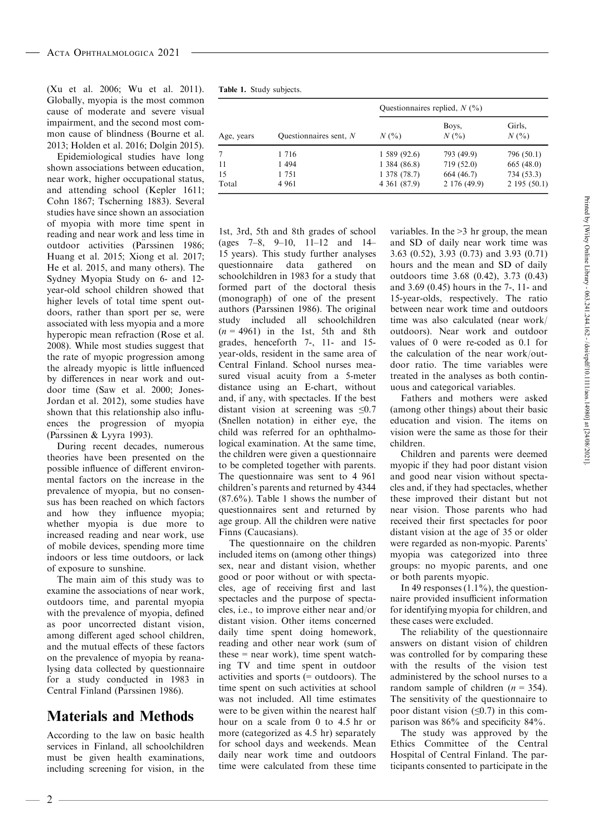(Xu et al. 2006; Wu etal. 2011). Globally, myopia is the most common cause of moderate and severe visual impairment, and the second most com mon cause of blindness (Bourne et al. 2013; Holden et al. 2016; Dolgin 2015).

Epidemiological studies have long shown associations between education, near work, higher occupational status, and attending school (Kepler 1611; Cohn 1867; Tscherning 1883). Several studies have since shown an association of myopia with more time spent in reading and near work and less time in outdoor activities (Parssinen 1986; Huang et al. 2015; Xiong et al. 2017; He et al. 2015, and many others). The Sydney Myopia Study on 6-and 12 year-old school children showed that higher levels of total time spent out doors, rather than sport per se, were associated with less myopia and a more hyperopic mean refraction (Rose et al. 2008). While most studies suggest that the rate of myopic progression among the already myopic is little influenced by differences in near work and out door time (Saw et al. 2000; Jones- Jordan et al. 2012), some studies have shown that this relationship also influ ences the progression of myopia (Parssinen & Lyyra 1993).

During recent decades, numerous theories have been presented on the possible influence of different environ mental factors on the increase in the prevalence of myopia, but no consen sus has been reached on which factors and how they influence myopia; whether myopia is due more to increased reading and near work, use of mobile devices, spending more time indoors or less time outdoors, or lack of exposure to sunshine.

The main aim of this study was to examine the associations of near work, outdoors time, and parental myopia with the prevalence of myopia, defined as poor uncorrected distant vision, among different aged school children, and the mutual effects of these factors on the prevalence of myopia by reanalysing data collected by questionnaire for a study conducted in 1983 in Central Finland (Parssinen 1986).

# Materials and Methods

According to the law on basic health services in Finland, all schoolchildren must be given health examinations, including screening for vision, in the

|  |  | Table 1. Study subjects. |  |
|--|--|--------------------------|--|
|--|--|--------------------------|--|

|            |                          | Ouestionnaires replied, $N$ (%) |                  |                   |  |  |
|------------|--------------------------|---------------------------------|------------------|-------------------|--|--|
| Age, years | Ouestionnaires sent, $N$ | $N($ %)                         | Boys,<br>$N($ %) | Girls,<br>$N(\%)$ |  |  |
|            | 1 7 1 6                  | 1,589(92.6)                     | 793 (49.9)       | 796 (50.1)        |  |  |
| 11         | 1 4 9 4                  | 1,384(86.8)                     | 719 (52.0)       | 665(48.0)         |  |  |
| 15         | 1 751                    | 1 378 (78.7)                    | 664 (46.7)       | 734 (53.3)        |  |  |
| Total      | 4 9 6 1                  | 4 361 (87.9)                    | 2 176 (49.9)     | 2195(50.1)        |  |  |

1st, 3rd, 5th and 8th grades of school (ages 7–8, 9–10, 11–12 and 14– 15 years). This study further analyses questionnaire data gathered on schoolchildren in 1983 for a study that formed part of the doctoral thesis (monograph) of one of the present authors (Parssinen 1986). The original study included all schoolchildren  $(n = 4961)$  in the 1st, 5th and 8th grades, henceforth 7-, 11- and 15 year-olds, resident in the same area of Central Finland. School nurses mea sured visual acuity from a 5-meter distance using an E-chart, without and, if any, with spectacles. If the best distant vision at screening was  $\leq 0.7$ (Snellen notation) in either eye, the child was referred for an ophthalmological examination. At the same time, the children were given a questionnaire to be completed together with parents. The questionnaire was sent to 4 961 children's parents and returned by 4344 (87.6%). Table 1 shows the number of questionnaires sent and returned by age group. All the children were native Finns (Caucasians).

The questionnaire on the children included items on (among other things) sex, near and distant vision, whether good or poor without or with specta cles, age of receiving first and last spectacles and the purpose of specta cles, i.e., to improve either near and/or distant vision. Other items concerned daily time spent doing homework, reading and other near work (sum of these = near work), time spent watching TV and time spent in outdoor activities and sports (= outdoors). The time spent on such activities at school was not included. All time estimates were to be given within the nearest half hour on a scale from 0 to 4.5 hr or more (categorized as 4.5 hr) separately for school days and weekends. Mean daily near work time and outdoors time were calculated from these time variables. In the >3 hr group, the mean and SD of daily near work time was 3.63 (0.52), 3.93 (0.73) and 3.93 (0.71) hours and the mean and SD of daily outdoors time 3.68 (0.42), 3.73 (0.43) and 3.69 (0.45) hours in the 7-, 11- and 15-year-olds, respectively. The ratio between near work time and outdoors time was also calculated (near work/ outdoors). Near work and outdoor values of 0 were re-coded as 0.1 for the calculation of the near work/out door ratio. The time variables were treated in the analyses as both contin uous and categorical variables.

Fathers and mothers were asked (among other things) about their basic education and vision. The items on vision were the same as those for their children.

Children and parents were deemed myopic if they had poor distant vision and good near vision without specta cles and, if they had spectacles, whether these improved their distant but not near vision. Those parents who had received their first spectacles for poor distant vision at the age of 35 or older were regarded as non-myopic. Parents' myopia was categorized into three groups: no myopic parents, and one or both parents myopic.

In 49 responses  $(1.1\%)$ , the questionnaire provided insufficient information for identifying myopia for children, and these cases were excluded.

The reliability of the questionnaire answers on distant vision of children was controlled for by comparing these with the results of the vision test administered by the school nurses to a random sample of children  $(n = 354)$ . The sensitivity of the questionnaire to poor distant vision  $(≤0.7)$  in this comparison was 86% and specificity 84%.

The study was approved by the Ethics Committee of the Central Hospital of Central Finland. The participants consented to participate in the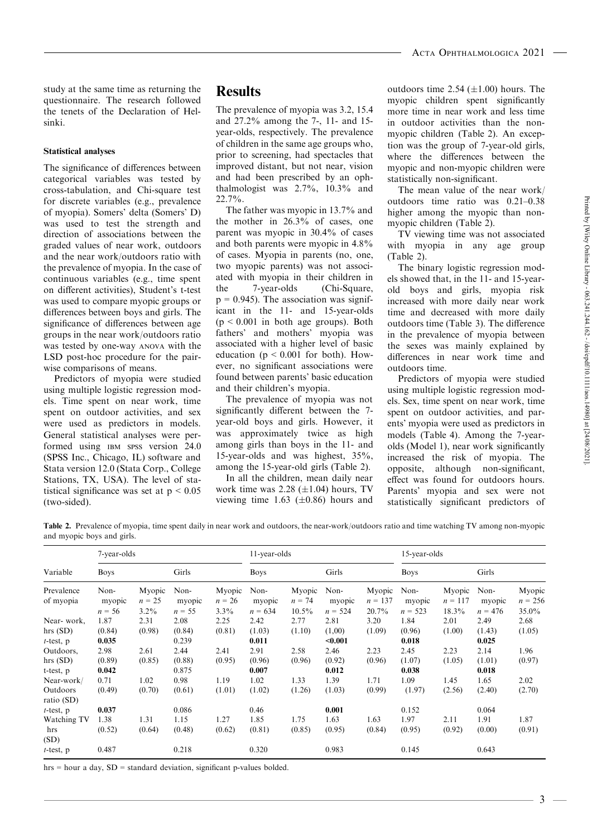study at the same time as returning the questionnaire. The research followed the tenets of the Declaration of Helsinki.

#### Statistical analyses

The significance of differences between categorical variables was tested by cross-tabulation, and Chi-square test for discrete variables (e.g., prevalence of myopia). Somers' delta (Somers' D) was used to test the strength and direction of associations between the graded values of near work, outdoors and the near work/outdoors ratio with the prevalence of myopia. In the case of continuous variables (e.g., time spent attended and different activities). Student's t test the on different activities), Student's t-test was used to compare myopic groups or differences between boys and girls. The significance of differences between age groups in the near work/outdoors ratio was tested by one-way ANOVA with the LSD post-hoc procedure for the pair wise comparisons of means.

Predictors of myopia were studied using multiple logistic regression mod els. Time spent on near work, time spent on outdoor activities, and sex were used as predictors in models. General statistical analyses were performed using IBM SPSS version 24.0 (SPSS Inc., Chicago, IL) software and Stata version 12.0 (Stata Corp., College Stations, TX, USA). The level of statistical significance was set at  $p < 0.05$ (two-sided).

## **Results**

The prevalence of myopia was 3.2, 15.4 and 27.2% among the 7-, 11- and 15 year-olds, respectively. The prevalence of children in the same age groups who, prior to screening, had spectacles that improved distant, but not near, vision and had been prescribed by an ophthalmologist was 2.7%, 10.3% and 22.7%.

The father was myopic in 13.7% and the mother in  $26.3\%$  of cases, one parent was myopic in 30.4% of cases and both parents were myopic in 4.8% of cases. Myopia in parents (no, one, two myopic parents) was not associ ated with myopia in their children in 7-year-olds (Chi-Square,  $p = 0.945$ ). The association was significant in the 11- and 15-year-olds  $(p \le 0.001$  in both age groups). Both fathers' and mothers' myopia was associated with a higher level of basic education ( $p \le 0.001$  for both). However, no significant associations were found between parents' basic education and their children's myopia.

The prevalence of myopia was not significantly different between the 7 year-old boys and girls. However, it was approximately twice as high among girls than boys in the 11- and 15-year-olds and was highest, 35%, among the 15-year-old girls (Table 2).

In all the children, mean daily near work time was  $2.28$  ( $\pm$ 1.04) hours, TV viewing time 1.63 ( $\pm$ 0.86) hours and outdoors time  $2.54$  ( $\pm 1.00$ ) hours. The myopic children spent significantly more time in near work and less time in outdoor activities than the non myopic children (Table 2). An exception was the group of 7-year-old girls, where the differences between the myopic and non-myopic children were statistically non-significant.

The mean value of the near work/ outdoors time ratio was 0.21–0.38 higher among the myopic than non myopic children (Table 2).

TV viewing time was not associated with myopia in any age group (Table 2).

The binary logistic regression mod els showed that, in the 11- and 15-year old boys and girls, myopia risk increased with more daily near work time and decreased with more daily outdoors time (Table 3). The difference in the prevalence of myopia between the sexes was mainly explained by differences in near work time and outdoors time.

Predictors of myopia were studied using multiple logistic regression mod els. Sex, time spent on near work, time spent on outdoor activities, and par ents' myopia were used as predictors in models (Table 4). Among the 7-year olds (Model 1), near work significantly increased the risk of myopia. The opposite, although non-significant, effect was found for outdoors hours. Parents' myopia and sex were not statistically significant predictors of

Table 2. Prevalence of myopia, time spent daily in near work and outdoors, the near-work/outdoors ratio and time watching TV among non-myopic and myopic boys and girls.

|                         | 7-year-olds                |                               |                            | 11-year-olds                  |                             |                                | 15-year-olds                |                              |                             |                              |                             |                              |
|-------------------------|----------------------------|-------------------------------|----------------------------|-------------------------------|-----------------------------|--------------------------------|-----------------------------|------------------------------|-----------------------------|------------------------------|-----------------------------|------------------------------|
| Variable                | <b>Boys</b>                |                               | Girls                      |                               | <b>Boys</b>                 |                                | Girls                       |                              | <b>Boys</b>                 |                              | Girls                       |                              |
| Prevalence<br>of myopia | Non-<br>myopic<br>$n = 56$ | Myopic<br>$n = 25$<br>$3.2\%$ | Non-<br>myopic<br>$n = 55$ | Myopic<br>$n = 26$<br>$3.3\%$ | Non-<br>myopic<br>$n = 634$ | Myopic<br>$n = 74$<br>$10.5\%$ | Non-<br>myopic<br>$n = 524$ | Myopic<br>$n = 137$<br>20.7% | Non-<br>myopic<br>$n = 523$ | Myopic<br>$n = 117$<br>18.3% | Non-<br>myopic<br>$n = 476$ | Myopic<br>$n = 256$<br>35.0% |
| Near-work,              | 1.87                       | 2.31                          | 2.08                       | 2.25                          | 2.42                        | 2.77                           | 2.81                        | 3.20                         | 1.84                        | 2.01                         | 2.49                        | 2.68                         |
| hrs(SD)<br>$t$ -test, p | (0.84)<br>0.035            | (0.98)                        | (0.84)<br>0.239            | (0.81)                        | (1.03)<br>0.011             | (1.10)                         | (1,00)<br>$0.001$           | (1.09)                       | (0.96)<br>0.018             | (1.00)                       | (1.43)<br>0.025             | (1.05)                       |
| Outdoors,               | 2.98                       | 2.61                          | 2.44                       | 2.41                          | 2.91                        | 2.58                           | 2.46                        | 2.23                         | 2.45                        | 2.23                         | 2.14                        | 1.96                         |
| hrs(SD)                 | (0.89)                     | (0.85)                        | (0.88)                     | (0.95)                        | (0.96)                      | (0.96)                         | (0.92)                      | (0.96)                       | (1.07)                      | (1.05)                       | (1.01)                      | (0.97)                       |
| t-test, p               | 0.042                      |                               | 0.875                      |                               | 0.007                       |                                | 0.012                       |                              | 0.038                       |                              | 0.018                       |                              |
| Near-work/              | 0.71                       | 1.02                          | 0.98                       | 1.19                          | 1.02                        | 1.33                           | 1.39                        | 1.71                         | 1.09                        | 1.45                         | 1.65                        | 2.02                         |
| Outdoors<br>ratio (SD)  | (0.49)                     | (0.70)                        | (0.61)                     | (1.01)                        | (1.02)                      | (1.26)                         | (1.03)                      | (0.99)                       | (1.97)                      | (2.56)                       | (2.40)                      | (2.70)                       |
| $t$ -test, $p$          | 0.037                      |                               | 0.086                      |                               | 0.46                        |                                | 0.001                       |                              | 0.152                       |                              | 0.064                       |                              |
| Watching TV             | 1.38                       | 1.31                          | 1.15                       | 1.27                          | 1.85                        | 1.75                           | 1.63                        | 1.63                         | 1.97                        | 2.11                         | 1.91                        | 1.87                         |
| hrs                     | (0.52)                     | (0.64)                        | (0.48)                     | (0.62)                        | (0.81)                      | (0.85)                         | (0.95)                      | (0.84)                       | (0.95)                      | (0.92)                       | (0.00)                      | (0.91)                       |
| (SD)                    |                            |                               |                            |                               |                             |                                |                             |                              |                             |                              |                             |                              |
| $t$ -test, p            | 0.487                      |                               | 0.218                      |                               | 0.320                       |                                | 0.983                       |                              | 0.145                       |                              | 0.643                       |                              |

hrs = hour a day, SD = standard deviation, significant p-values bolded.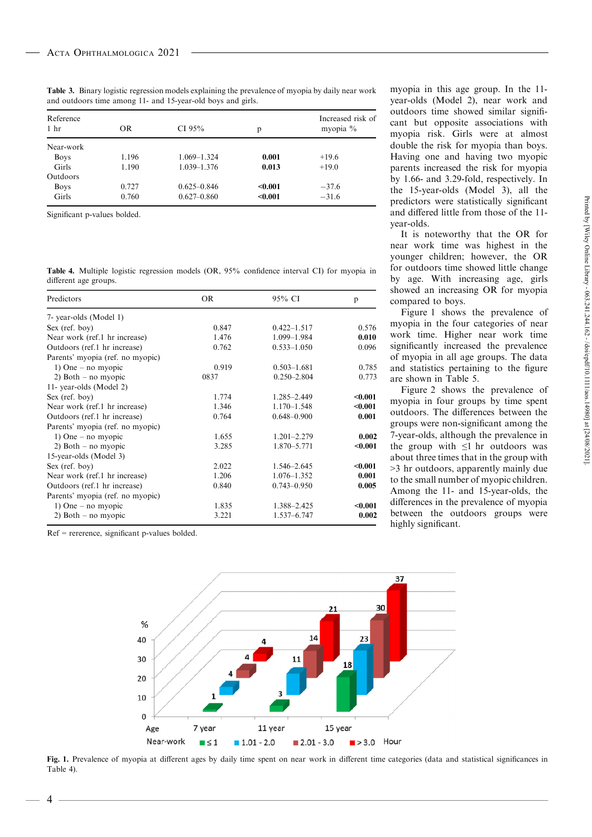| Reference<br>1 <sub>hr</sub> | <b>OR</b> | CI $95%$        | p       | Increased risk of<br>myopia % |
|------------------------------|-----------|-----------------|---------|-------------------------------|
| Near-work                    |           |                 |         |                               |
| <b>Boys</b>                  | 1.196     | 1.069-1.324     | 0.001   | $+19.6$                       |
| Girls                        | 1.190     | $1.039 - 1.376$ | 0.013   | $+19.0$                       |
| Outdoors                     |           |                 |         |                               |
| <b>Boys</b>                  | 0.727     | $0.625 - 0.846$ | < 0.001 | $-37.6$                       |
| Girls                        | 0.760     | $0.627 - 0.860$ | < 0.001 | $-31.6$                       |

Table 3. Binary logistic regression models explaining the prevalence of myopia by daily near work and outdoors time among 11- and 15-year-old boys and girls.

Significant p-values bolded.

Table 4. Multiple logistic regression models (OR, 95% confidence interval CI) for myopia in different age groups.

| Predictors                       | OR    | 95% CI          | p       |
|----------------------------------|-------|-----------------|---------|
| 7- year-olds (Model 1)           |       |                 |         |
| Sex (ref. boy)                   | 0.847 | $0.422 - 1.517$ | 0.576   |
| Near work (ref.1 hr increase)    | 1.476 | 1.099-1.984     | 0.010   |
| Outdoors (ref.1 hr increase)     | 0.762 | $0.533 - 1.050$ | 0.096   |
| Parents' myopia (ref. no myopic) |       |                 |         |
| 1) One – no myopic               | 0.919 | $0.503 - 1.681$ | 0.785   |
| 2) Both $-$ no myopic            | 0837  | $0.250 - 2.804$ | 0.773   |
| 11- year-olds (Model 2)          |       |                 |         |
| $Sex$ (ref. boy)                 | 1.774 | 1.285-2.449     | < 0.001 |
| Near work (ref.1 hr increase)    | 1.346 | $1.170 - 1.548$ | $0.001$ |
| Outdoors (ref.1 hr increase)     | 0.764 | $0.648 - 0.900$ | 0.001   |
| Parents' myopia (ref. no myopic) |       |                 |         |
| 1) One – no myopic               | 1.655 | $1.201 - 2.279$ | 0.002   |
| 2) Both $-$ no myopic            | 3.285 | 1.870-5.771     | $0.001$ |
| 15-year-olds (Model 3)           |       |                 |         |
| Sex (ref. boy)                   | 2.022 | 1.546-2.645     | < 0.001 |
| Near work (ref.1 hr increase)    | 1.206 | 1.076-1.352     | 0.001   |
| Outdoors (ref.1 hr increase)     | 0.840 | $0.743 - 0.950$ | 0.005   |
| Parents' myopia (ref. no myopic) |       |                 |         |
| 1) One – no myopic               | 1.835 | 1.388-2.425     | $0.001$ |
| 2) Both $-$ no myopic            | 3.221 | 1.537-6.747     | 0.002   |
|                                  |       |                 |         |

Ref = rererence, significant p-values bolded.

4

myopia in this age group. In the 11 year-olds (Model 2), near work and outdoors time showed similar signifi cant but opposite associations with myopia % and the example is also contained with the myopia risk. Girls were at almost double the risk for myopia than boys. Having one and having two myopic parents increased the risk for myopia by 1.66- and 3.29-fold, respectively. In the 15-year-olds (Model 3), all the predictors were statistically significant and differed little from those of the 11 year-olds.

It is noteworthy that the OR for near work time was highest in the for outdoors time showed little change by age. With increasing age, girls showed an increasing OR for myopia compared to boys.

Figure 1 shows the prevalence of myopia in the four categories of near work time. Higher near work time significantly increased the prevalence of myopia in all age groups. The data and statistics pertaining to the figure are shown in Table 5.<br>Figure 2 shows the prevalence of

predictors were statistically significant<br>and differed little from those of the 11-<br>year-olds.<br>It is noteworthy that the OR for<br>near work time was highest in the<br>younger children; however, the OR<br>for outdoors time showed myopia in four groups by time spent outdoors. The differences between the groups were non-significant among the 7-year-olds, although the prevalence in the group with  $\leq 1$  hr outdoors was about three times that in the group with >3 hr outdoors, apparently mainly due to the small number of myopic children. Among the 11- and 15-year-olds, the differences in the prevalence of myopia between the outdoors groups were highly significant.



Fig. 1. Prevalence of myopia at different ages by daily time spent on near work in different time categories (data and statistical significances in Table 4).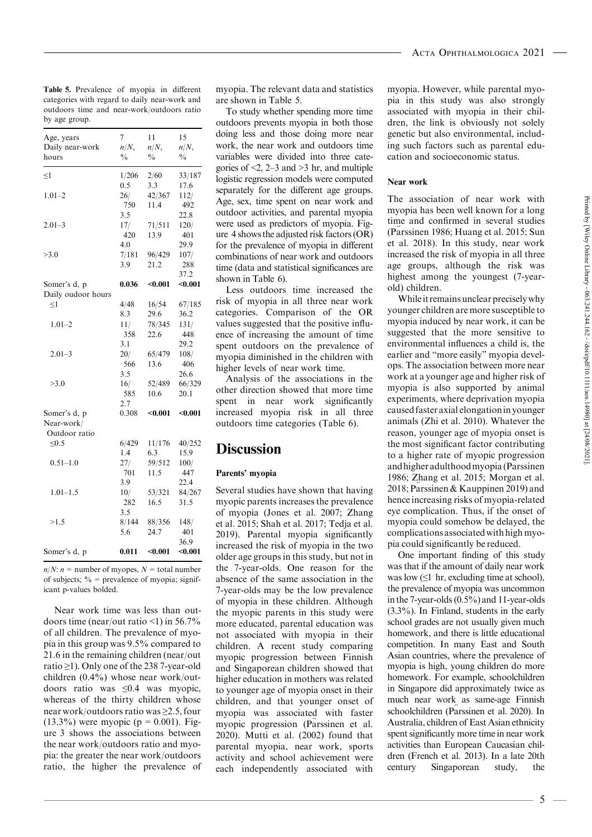Table 5. Prevalence of myopia in different categories with regard to daily near-work and outdoors time and near-work/outdoors ratio by age group.

| Age, years<br>Daily near-work | 7<br>$n/N$ ,  | 11<br>$n/N$ , | 15<br>$n/N$ , |
|-------------------------------|---------------|---------------|---------------|
| hours                         | $\frac{0}{0}$ | $\frac{0}{0}$ | $\frac{0}{0}$ |
| $\leq$ 1                      | 1/206         | 2/60          | 33/187        |
|                               | 0.5           | 3.3           | 17.6          |
| $1.01 - 2$                    | 26/           | 42/367        | 112/          |
|                               | 750           | 11.4          | 492           |
|                               | 3.5           |               | 22.8          |
| $2.01 - 3$                    | 17/           | 71/511        | 120/          |
|                               | 420           | 13.9          | 401           |
|                               | 4.0           |               | 29.9          |
| >3.0                          | 7/181         | 96/429        | 107/          |
|                               | 3.9           | 21.2          | 288           |
|                               |               |               | 37.2          |
| Somer's d, p                  | 0.036         | $0.001$       | $0.001$       |
| Daily oudoor hours            |               |               |               |
| $<$ l                         | 4/48          | 16/54         | 67/185        |
|                               | 8.3           | 29.6          | 36.2          |
| $1.01 - 2$                    | 11/           | 78/345        | 131/          |
|                               | 358           | 22.6          | 448           |
|                               | 3.1           |               | 29.2          |
| $2.01 - 3$                    | 20/           | 65/479        | 108/          |
|                               | 566           | 13.6          | 406           |
|                               | 3.5           |               | 26.6          |
| >3.0                          | 16/           | 52/489        | 66/329        |
|                               | 585           | 10.6          | 20.1          |
|                               | 2.7           |               |               |
| Somer's d, p                  | 0.308         | $0.001$       | $0.001$       |
| Near-work/                    |               |               |               |
| Outdoor ratio                 |               |               |               |
| $\leq 0.5$                    | 6/429         | 11/176        | 40/252        |
|                               | 1.4           | 6.3           | 15.9          |
| $0.51 - 1.0$                  | 27/           | 59/512        | 100/          |
|                               | 701           | 11.5          | 447           |
|                               | 3.9           |               | 22.4          |
| $1.01 - 1.5$                  | 10/           | 53/321        | 84/267        |
|                               | 282           | 16.5          | 31.5          |
|                               | 3.5           |               |               |
| >1.5                          | 8/144         | 88/356        | 148/          |
|                               | 5.6           | 24.7          | 401           |
|                               |               |               | 36.9          |
| Somer's d, p                  | 0.011         | $0.001$       | $0.001$       |

 $n/N$ :  $n =$  number of myopes,  $N =$  total number of subjects;  $\%$  = prevalence of myopia; significant p-values bolded.

Near work time was less than out doors time (near/out ratio  $\leq$ 1) in 56.7% of all children. The prevalence of myo pia in this group was 9.5% compared to 21.6 in the remaining children (near/out ratio ≥1). Only one of the 238 7-year-old children (0.4%) whose near work/out doors ratio was ≤0.4 was myopic, whereas of the thirty children whose near work/outdoors ratio was  $\geq 2.5$ , four  $(13.3\%)$  were myopic (p = 0.001). Figure 3 shows the associations between the near work/outdoors ratio and myo pia: the greater the near work/outdoors ratio, the higher the prevalence of myopia. The relevant data and statistics are shown in Table 5.<br>To study whether spending more time

outdoors prevents myopia in both those doing less and those doing more near work, the near work and outdoors time variables were divided into three cate- % gories of  $\leq$ , 2–3 and  $\geq$ 3 hr, and multiple  $\frac{33}{156}$  logistic regression models were computed Near separately for the different age groups. Age, sex, time spent on near work and outdoor activities, and parental myopia were used as predictors of myopia. Fig- 401  $\qquad$  ure 4 shows the adjusted risk factors (OR) (1) for the prevalence of myopia in different combinations of near work and outdoors time (data and statistical significances are 288 shown in Table 6).

Less outdoors time increased the  $67/185$  risk of myopia in all three near work W categories. Comparison of the OR values suggested that the positive influ ence of increasing the amount of time 448 spent outdoors on the prevalence of myopia diminished in the children with  $\frac{406}{406}$  higher levels of near work time.

Analysis of the associations in the other direction showed that more time spent in near work significantly increased myopia risk in all three outdoors time categories (Table 6).

# $15.9$  Discussion

### Parents' myopia 447

 $84/267$  Several studies have shown that having 2018 myopic parents increases the prevalence of myopia (Jones et al. 2007; Zhang et al. 2015; Shah et al. 2017; Tedja et al. 2019). Parental myopia significantly 401 increased the risk of myopia in the two older age groups in this study, but not in the 7-year-olds. One reason for the absence of the same association in the 7-year-olds may be the low prevalence of myopia in these children. Although the myopic parents in this study were more educated, parental education was not associated with myopia in their children. A recent study comparing myopic progression between Finnish and Singaporean children showed that higher education in mothers was related to younger age of myopia onset in their children, and that younger onset of myopia was associated with faster myopic progression (Parssinen et al. 2020). Mutti et al. (2002) found that parental myopia, near work, sports activity and school achievement were dren (Fi<br>each independently associated with century each independently associated with

myopia. However, while parental myo pia in this study was also strongly associated with myopia in their chil dren, the link is obviously not solely genetic but also environmental, including such factors such as parental edu cation and socioeconomic status.

### Near work

The association of near work with myopia has been well known for a long time and confirmed in several studies (Parssinen 1986; Huang et al. 2015; Sun et al. 2018). In this study, near work increased the risk of myopia in all three age groups, although the risk was highest among the youngest (7-year old) children.

While it remains unclear precisely why younger children are more susceptible to myopia induced by near work, it can be suggested that the more sensitive to environmental influences a child is, the earlier and "more easily" myopia devel ops. The association between more near work at a younger age and higher risk of myopia is also supported by animal experiments, where deprivation myopia causedfasteraxial elongationinyounger animals (Zhi et al. 2010). Whatever the reason, younger age of myopia onset is the most significant factor contributing to a higher rate of myopic progression and higher adulthood myopia (Parssinen 1986; Zhang et al. 2015; Morgan et al.  $2018$ ; Parssinen & Kauppinen 2019) and hence increasing risks of myopia-related eye complication. Thus, if the onset of myopia could somehow be delayed, the complicationsassociatedwithhigh myo pia could significantly be reduced.

One important finding of this study was that if the amount of daily near work was low  $(\leq 1$  hr, excluding time at school), the prevalence of myopia was uncommon inthe 7-year-olds(0.5%) and 11-year-olds (3.3%). In Finland, students in the early school grades are not usually given much homework, and there is little educational competition. In many East and South Asian countries, where the prevalence of myopia is high, young children do more homework. For example, schoolchildren in Singapore did approximately twice as much near work as same-age Finnish schoolchildren (Parssinen et al. 2020). In Australia, children of East Asian ethnicity spent significantly more time in near work activities than European Caucasian chil dren (French et al. 2013). In a late 20th Singaporean study, the

Printed by [Wiley Online Library - 063.241.244.162 -/doi/epdf/10.1111/aos.14980] at [24/08/2021] Printed by [Wiley Online Library - 063.241.244.162 - /doi/epdf/10.1111/aos.14980] at [24/08/2021].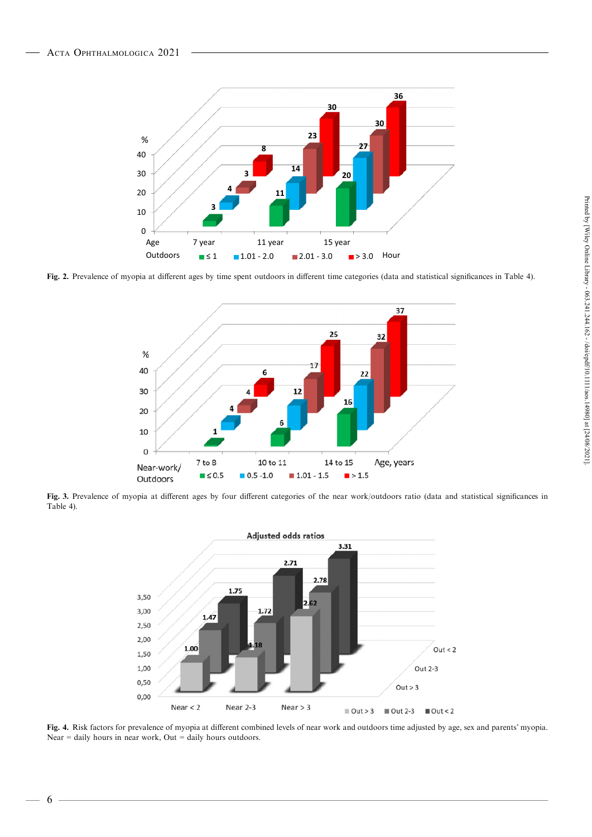

Fig. 2. Prevalence of myopia at different ages by time spent outdoors in different time categories (data and statistical significances in Table 4).



Fig. 3. Prevalence of myopia at different ages by four different categories of the near work/outdoors ratio (data and statistical significances in Table 4).



Fig. 4. Risk factors for prevalence of myopia at different combined levels of near work and outdoors time adjusted by age, sex and parents' myopia. Near  $=$  daily hours in near work, Out  $=$  daily hours outdoors.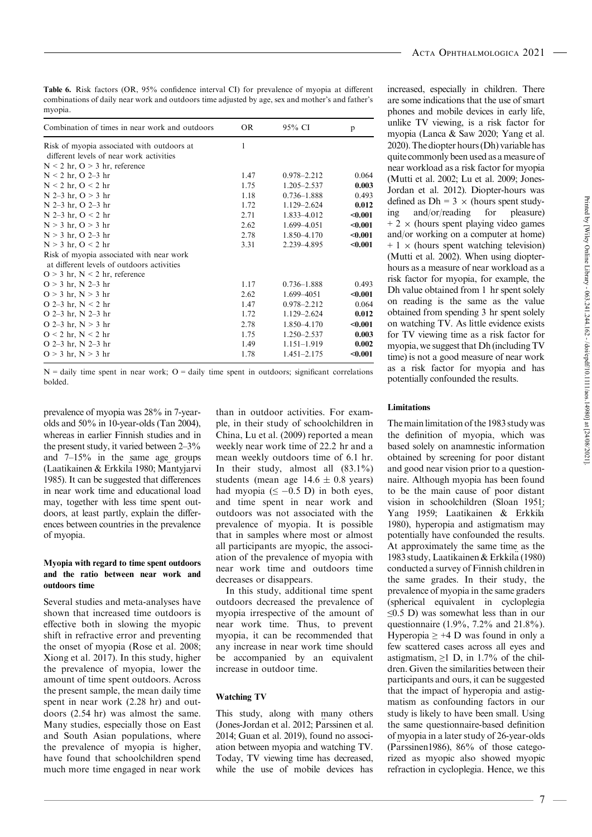Table 6. Risk factors (OR, 95% confidence interval CI) for prevalence of myopia at different combinations of daily near work and outdoors time adjusted by age, sex and mother's and father's myopia.

| Combination of times in near work and outdoors                                         | <b>OR</b> | 95% CI          | p       |
|----------------------------------------------------------------------------------------|-----------|-----------------|---------|
| Risk of myopia associated with outdoors at<br>different levels of near work activities | 1         |                 |         |
| $N < 2$ hr, $O > 3$ hr, reference                                                      |           |                 |         |
| $N < 2$ hr, O 2–3 hr                                                                   | 1.47      | $0.978 - 2.212$ | 0.064   |
| $N < 2$ hr, $O < 2$ hr                                                                 | 1.75      | $1.205 - 2.537$ | 0.003   |
| $N$ 2–3 hr, $O > 3$ hr                                                                 | 1.18      | $0.736 - 1.888$ | 0.493   |
| $N$ 2–3 hr, O 2–3 hr                                                                   | 1.72      | 1.129-2.624     | 0.012   |
| $N$ 2–3 hr, $O < 2$ hr                                                                 | 2.71      | 1.833-4.012     | $0.001$ |
| $N > 3$ hr, $O > 3$ hr                                                                 | 2.62      | 1.699-4.051     | < 0.001 |
| $N > 3$ hr, O 2–3 hr                                                                   | 2.78      | 1.850-4.170     | < 0.001 |
| $N > 3$ hr, $O < 2$ hr                                                                 | 3.31      | 2.239 - 4.895   | $0.001$ |
| Risk of myopia associated with near work<br>at different levels of outdoors activities |           |                 |         |
| $Q > 3$ hr, $N < 2$ hr, reference                                                      |           |                 |         |
| $O > 3$ hr, N 2–3 hr                                                                   | 1.17      | $0.736 - 1.888$ | 0.493   |
| $Q > 3$ hr, $N > 3$ hr                                                                 | 2.62      | 1.699-4051      | < 0.001 |
| O 2–3 hr, $N < 2$ hr                                                                   | 1.47      | $0.978 - 2.212$ | 0.064   |
| $O$ 2–3 hr, N 2–3 hr                                                                   | 1.72      | 1.129 - 2.624   | 0.012   |
| O 2–3 hr, $N > 3$ hr                                                                   | 2.78      | 1.850-4.170     | $0.001$ |
| $Q < 2$ hr, $N < 2$ hr                                                                 | 1.75      | $1.250 - 2.537$ | 0.003   |
| O 2–3 hr, N 2–3 hr                                                                     | 1.49      | 1.151-1.919     | 0.002   |
| $O > 3$ hr, $N > 3$ hr                                                                 | 1.78      | $1.451 - 2.175$ | $0.001$ |

 $N =$  daily time spent in near work;  $Q =$  daily time spent in outdoors; significant correlations bolded.

prevalence of myopia was 28% in 7-year olds and 50% in 10-year-olds (Tan 2004), whereas in earlier Finnish studies and in the present study, it varied between  $2-3\%$ and 7–15% in the same age groups (Laatikainen & Erkkila 1980; Mantyjarvi 1985). It can be suggested that differences in near work time and educational load may, together with less time spent out doors, at least partly, explain the differ ences between countries in the prevalence of myopia.

#### Myopia with regard to time spent outdoors and the ratio between near work and outdoors time

Several studies and meta-analyses have shown that increased time outdoors is effective both in slowing the myopic shift in refractive error and preventing the onset of myopia (Rose et al. 2008; Xiong etal. 2017). In this study, higher the prevalence of myopia, lower the amount of time spent outdoors. Across the present sample, the mean daily time spent in near work (2.28 hr) and out doors (2.54 hr) was almost the same. Many studies, especially those on East and South Asian populations, where the prevalence of myopia is higher, have found that schoolchildren spend much more time engaged in near work

than in outdoor activities. For exam ple, in their study of schoolchildren in China, Lu et al. (2009) reported a mean weekly near work time of 22.2 hr and a mean weekly outdoors time of 6.1 hr. In their study, almost all  $(83.1\%)$ students (mean age  $14.6 \pm 0.8$  years) had myopia  $( \leq -0.5 \text{ D} )$  in both eyes, and time spent in near work and outdoors was not associated with the prevalence of myopia. It is possible that in samples where most or almost all participants are myopic, the associ ation of the prevalence of myopia with near work time and outdoors time decreases or disappears.

In this study, additional time spent outdoors decreased the prevalence of myopia irrespective of the amount of near work time. Thus, to prevent myopia, it can be recommended that any increase in near work time should be accompanied by an equivalent increase in outdoor time.

### Watching TV

This study, along with many others (Jones-Jordan et al.  $2012$ ; Parssinen et al. 2014; Guan et al. 2019), found no associ ation between myopia and watching TV. Today, TV viewing time has decreased, while the use of mobile devices has increased, especially in children. There are some indications that the use of smart phones and mobile devices in early life, unlike TV viewing, is a risk factor for myopia (Lanca & Saw 2020; Yang et al. 2020). The diopter hours (Dh) variable has quite commonly been used as a measure of near workload asa risk factor for myopia (Mutti et al. 2002; Lu et al. 2009; Jones- Jordan et al. 2012). Diopter-hours was defined as  $Dh = 3 \times$  (hours spent studying and/or/reading for pleasure)  $+ 2 \times$  (hours spent playing video games and/or working on a computer at home)  $+ 1 \times$  (hours spent watching television) (Mutti et al. 2002). When using diopter hours as a measure of near workload as a risk factor for myopia, for example, the Dh value obtained from 1 hr spent solely on reading is the same as the value obtained from spending 3 hr spent solely on watching TV. As little evidence exists for TV viewing time as a risk factor for defined as Dh = 3 × (hours spent study-<br>ing and/or/reading for pleasure)<br> $+ 2 \times$  (hours spent playing video games<br>and/or working on a computer at home)<br> $+ 1 \times$  (hours spent watching televison)<br>(Mutti et al. 2002). When us time) is not a good measure of near work as a risk factor for myopia and has potentially confounded the results.

### Limitations

The main limitation of the 1983 study was the definition of myopia, which was based solely on anamnestic information obtained by screening for poor distant and good near vision prior to a question naire. Although myopia has been found to be the main cause of poor distant vision in schoolchildren (Sloan 1951; Yang 1959; Laatikainen & Erkkila 1980), hyperopia and astigmatism may potentially have confounded the results. At approximately the same time as the 1983 study, Laatikainen & Erkkila (1980) conducted a survey of Finnish children in the same grades. In their study, the prevalence of myopia in the same graders (spherical equivalent in cycloplegia ≤0.5 D) was somewhat less than in our questionnaire (1.9%, 7.2% and 21.8%). Hyperopia  $\geq$  +4 D was found in only a few scattered cases across all eyes and astigmatism,  $\geq 1$  D, in 1.7% of the children. Given the similarities between their participants and ours, it can be suggested that the impact of hyperopia and astig matism as confounding factors in our study is likely to have been small. Using the same questionnaire-based definition of myopia in a later study of 26-year-olds (Parssinen1986),  $86%$  of those categorized as myopic also showed myopic refraction in cycloplegia. Hence, we this Printed by [Wiley Online Library - 063.241.244.162 - /doi/epdf/10.1111/aos.14980] at [24/08/2021].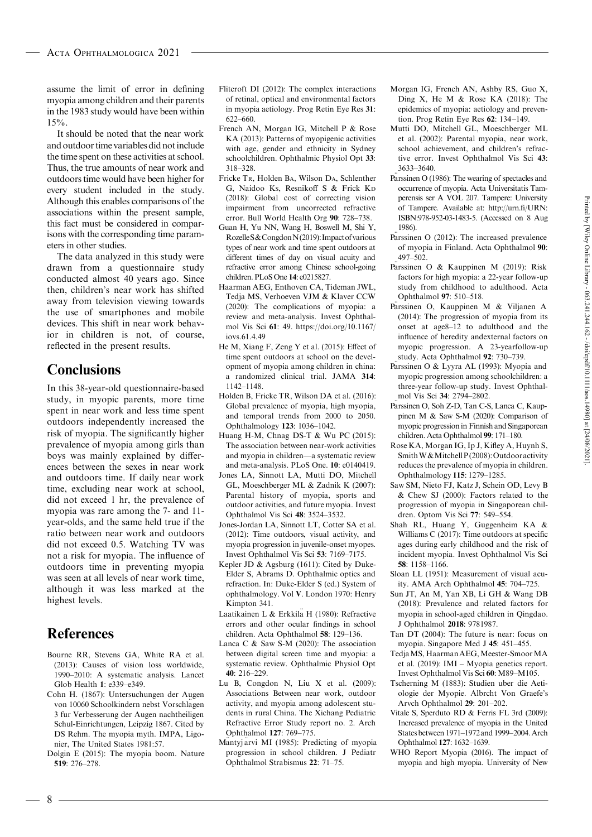assume the limit of error in defining myopia among children and their parents in the 1983 study would have been within  $15\%$ .

It should be noted that the near work and outdoor time variables did not include the time spent on these activities at school. Thus, the true amounts of near work and outdoors time would have been higher for every student included in the study. Although this enables comparisons of the associations within the present sample, this fact must be considered in comparisons with the corresponding time param eters in other studies.

The data analyzed in this study were drawn from a questionnaire study conducted almost 40 years ago. Since then, children's near work has shifted away from television viewing towards the use of smartphones and mobile devices. This shift in near work behavior in children is not, of course, reflected in the present results.

### **Conclusions**

In this 38-year-old questionnaire-based study, in myopic parents, more time spent in near work and less time spent outdoors independently increased the risk of myopia. The significantly higher prevalence of myopia among girls than boys was mainly explained by differ ences between the sexes in near work and outdoors time. If daily near work time, excluding near work at school, did not exceed 1 hr, the prevalence of myopia was rare among the 7- and 11 year-olds, and the same held true if the ratio between near work and outdoors did not exceed 0.5. Watching TV was not a risk for myopia. The influence of outdoors time in preventing myopia was seen at all levels of near work time, although it was less marked at the highest levels.

### References

- Bourne RR, Stevens GA, White RA et al. (2013): Causes of vision loss worldwide, 1990–2010: A systematic analysis. Lancet Glob Health 1: e339–e349.
- Cohn H. (1867): Untersuchungen der Augen von 10060 Schoolkindern nebst Vorschlagen 3 fur Verbesserung der Augen nachtheiligen Schul-Einrichtungen, Leipzig 1867. Cited by DS Rehm. The myopia myth. IMPA, Ligo nier, The United States 1981:57.
- Dolgin E (2015): The myopia boom. Nature 519: 276–278.
- Flitcroft DI (2012): The complex interactions of retinal, optical and environmental factors in myopia aetiology. Prog Retin Eye Res 31: 622–660.
- French AN, Morgan IG, Mitchell P & Rose KA (2013): Patterns of myopigenic activities with age, gender and ethnicity in Sydney schoolchildren. Ophthalmic Physiol Opt 33: 318–328.
- Fricke TR, Holden BA, Wilson DA, Schlenther G, Naidoo KS, Resnikoff S & Frick K<sup>D</sup> (2018): Global cost of correcting vision impairment from uncorrected refractive error. Bull World Health Org 90: 728–738.
- Guan H, Yu NN, Wang H, Boswell M, Shi Y, RozelleS&CongdonN(2019):Impactofvarious types of near work and time spent outdoors at different times of day on visual acuity and refractive error among Chinese school-going children. PLoS One 14: e0215827.
- Haarman AEG, Enthoven CA, Tideman JWL, Tedja MS, Verhoeven VJM & Klaver CCW (2020): The complications of myopia: a review and meta-analysis. Invest Ophthal mol Vis Sci 61: 49. https://doi.org/10.1167/ iovs.61.4.49
- He M, Xiang F, Zeng Y et al. (2015): Effect of time spent outdoors at school on the devel opment of myopia among children in china: a randomized clinical trial. JAMA 314: 1142–1148.
- Holden B, Fricke TR, Wilson DA et al. (2016): Global prevalence of myopia, high myopia, and temporal trends from 2000 to 2050. Ophthalmology 123: 1036–1042.
- Huang H-M, Chnag DS-T & Wu PC (2015): The association between near-work activities and myopia in children—a systematic review and meta-analysis. PLoS One. 10: e0140419.
- Jones LA, Sinnott LA, Mutti DO, Mitchell GL, Moeschberger ML & Zadnik K (2007): Parental history of myopia, sports and outdoor activities, and future myopia. Invest Ophthalmol Vis Sci 48: 3524–3532.
- Jones-Jordan LA, Sinnott LT, Cotter SA et al. (2012): Time outdoors, visual activity, and myopia progression in juvenile-onset myopes. Invest Ophthalmol Vis Sci 53: 7169–7175.
- Kepler JD & Agsburg (1611): Cited by Duke- Elder S, Abrams D. Ophthalmic optics and refraction. In: Duke-Elder S (ed.) System of ophthalmology. Vol V. London 1970: Henry Kimpton 341.
- Laatikainen L & Erkkila H (1980): Refractive errors and other ocular findings in school children. Acta Ophthalmol 58: 129–136.
- Lanca C & Saw S-M (2020): The association between digital screen time and myopia: a systematic review. Ophthalmic Physiol Opt  $40.216 - 229$
- Lu B, Congdon N, Liu X et al. (2009): Associations Between near work, outdoor activity, and myopia among adolescent stu dents in rural China. The Xichang Pediatric Refractive Error Study report no. 2. Arch Ophthalmol 127: 769–775.
- Mantyj arvi MI (1985): Predicting of myopia progression in school children. J Pediatr Ophthalmol Strabismus 22: 71–75.
- Morgan IG, French AN, Ashby RS, Guo X, Ding X, He M & Rose KA (2018): The epidemics of myopia: aetiology and prevention. Prog Retin Eye Res 62: 134–149.
- Mutti DO, Mitchell GL, Moeschberger ML et al. (2002): Parental myopia, near work, school achievement, and children's refractive error. Invest Ophthalmol Vis Sci 43: 3633–3640.
- **Parssinen O** (1986): The wearing of spectacles and occurrence of myopia. Acta Universitatis Tam perensis ser A VOL 207. Tampere: University of Tampere. Available at: http://urn.fi/URN: ISBN:978-952-03-1483-5. (Accessed on 8 Aug 1986).
- P €arssinen <sup>O</sup> (2012): The increased prevalence of myopia in Finland. Acta Ophthalmol 90: 497–502.
- P €arssinen <sup>O</sup> & Kauppinen <sup>M</sup> (2019): Risk factors for high myopia: a 22-year follow-up study from childhood to adulthood. Acta Ophthalmol 97: 510–518.
- e Francisco Correlation Correlation Correlation Correlation Correlation Correlation Correlation Correlation Correlation Correlation Correlation Correlation Correlation Correlation Correlation Correlation Correlation Correl (2014): The progression of myopia from its onset at age8–12 to adulthood and the influence of heredity andexternal factors on myopic progression. A 23-yearfollow-up study. Acta Ophthalmol 92: 730–739.
- Parssinen O & Lyyra AL (1993): Myopia and myopic progression among schoolchildren: a three-year follow-up study. Invest Ophthal mol Vis Sci 34: 2794–2802.
- Parssinen O, Soh Z-D, Tan C-S, Lanca C, Kauppinen M & Saw S-M (2020): Comparison of myopic progression in Finnish and Singaporean children. Acta Ophthalmol 99: 171–180.
- Rose KA, Morgan IG,Ip J, Kifley A, Huynh S, SmithW&MitchellP(2008):Outdooractivity reduces the prevalence of myopia in children. Ophthalmology 115: 1279–1285.
- Saw SM, Nieto FJ, Katz J, Schein OD, Levy B & Chew SJ (2000): Factors related to the progression of myopia in Singaporean chil dren. Optom Vis Sci 77: 549–554.
- Shah RL, Huang Y, Guggenheim KA & Williams C (2017): Time outdoors at specific ages during early childhood and the risk of incident myopia. Invest Ophthalmol Vis Sci 58: 1158–1166.
- Sloan LL (1951): Measurement of visual acuity. AMA Arch Ophthalmol 45: 704–725.
- Sun JT, An M, Yan XB, Li GH & Wang DB (2018): Prevalence and related factors for myopia in school-aged children in Qingdao. J Ophthalmol 2018: 9781987.
- Tan DT (2004): The future is near: focus on myopia. Singapore Med J45: 451–455.
- Tedja MS, Haarman AEG, Meester-Smoor MA et al. (2019): IMI – Myopia genetics report. Invest Ophthalmol Vis Sci 60: M89–M105.
- Tscherning M (1883): Studien uber die Aeti ologie der Myopie. Albrcht Von Graefe's Arvch Ophthalmol 29: 201–202.
- Vitale S, Sperduto RD & Ferris FL 3rd (2009): Increased prevalence of myopia in the United Statesbetween 1971–1972and 1999–2004.Arch Ophthalmol 127: 1632–1639.
- WHO Report Myopia (2016). The impact of myopia and high myopia. University of New

8